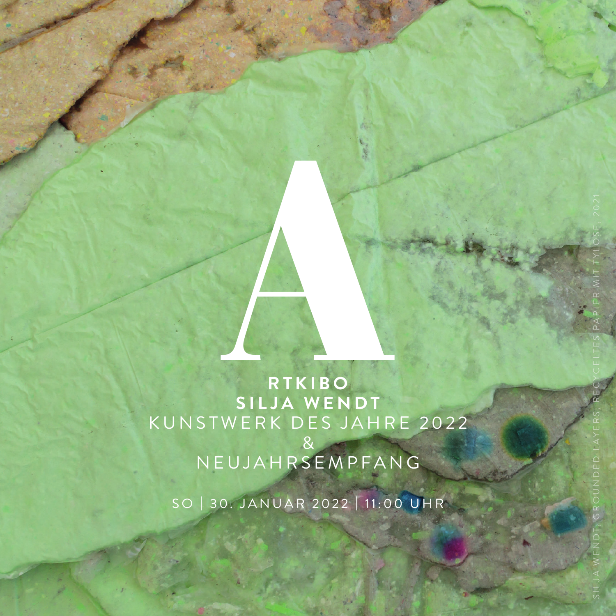**RTKIBO SILJA WENDT** KUNSTWERK DES JAHRE 2022 & NEUJAHRSEMPFANG RTKIBO<br>RTKIBO<br>SILJA WENDT

SO | 30. JANUAR 2022 | 11:00 UHR